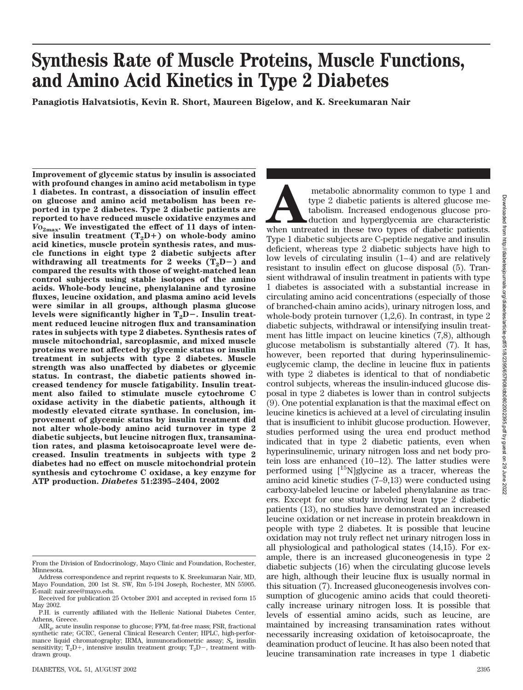# **Synthesis Rate of Muscle Proteins, Muscle Functions, and Amino Acid Kinetics in Type 2 Diabetes Panagiotis Halvatsiotis, Kevin R. Short, Maureen Bigelow, and K. Sreekumaran Nair**

**Improvement of glycemic status by insulin is associated with profound changes in amino acid metabolism in type 1 diabetes. In contrast, a dissociation of insulin effect on glucose and amino acid metabolism has been reported in type 2 diabetes. Type 2 diabetic patients are reported to have reduced muscle oxidative enzymes and**  $V_{\mathcal{O}_{2\text{max}}}$ . We investigated the effect of 11 days of intensive insulin treatment  $(T_2D+)$  on whole-body amino **acid kinetics, muscle protein synthesis rates, and muscle functions in eight type 2 diabetic subjects after** withdrawing all treatments for 2 weeks  $(T_2D-)$  and **compared the results with those of weight-matched lean control subjects using stable isotopes of the amino acids. Whole-body leucine, phenylalanine and tyrosine fluxes, leucine oxidation, and plasma amino acid levels were similar in all groups, although plasma glucose** levels were significantly higher in T<sub>2</sub>D-. Insulin treat**ment reduced leucine nitrogen flux and transamination rates in subjects with type 2 diabetes. Synthesis rates of muscle mitochondrial, sarcoplasmic, and mixed muscle proteins were not affected by glycemic status or insulin treatment in subjects with type 2 diabetes. Muscle strength was also unaffected by diabetes or glycemic status. In contrast, the diabetic patients showed increased tendency for muscle fatigability. Insulin treatment also failed to stimulate muscle cytochrome C oxidase activity in the diabetic patients, although it modestly elevated citrate synthase. In conclusion, improvement of glycemic status by insulin treatment did not alter whole-body amino acid turnover in type 2 diabetic subjects, but leucine nitrogen flux, transamination rates, and plasma ketoisocaproate level were decreased. Insulin treatments in subjects with type 2 diabetes had no effect on muscle mitochondrial protein synthesis and cytochrome C oxidase, a key enzyme for ATP production.** *Diabetes* **51:2395–2404, 2002**

metabolic abnormality common to type 1 and type 2 diabetic patients is altered glucose metabolism. Increased endogenous glucose production and hyperglycemia are characteristic when untreated in these two types of diabetic type 2 diabetic patients is altered glucose metabolism. Increased endogenous glucose production and hyperglycemia are characteristic Type 1 diabetic subjects are C-peptide negative and insulin deficient, whereas type 2 diabetic subjects have high to low levels of circulating insulin (1–4) and are relatively resistant to insulin effect on glucose disposal (5). Transient withdrawal of insulin treatment in patients with type 1 diabetes is associated with a substantial increase in circulating amino acid concentrations (especially of those of branched-chain amino acids), urinary nitrogen loss, and whole-body protein turnover  $(1,2,6)$ . In contrast, in type 2 diabetic subjects, withdrawal or intensifying insulin treatment has little impact on leucine kinetics (7,8), although glucose metabolism is substantially altered (7). It has, however, been reported that during hyperinsulinemiceuglycemic clamp, the decline in leucine flux in patients with type 2 diabetes is identical to that of nondiabetic control subjects, whereas the insulin-induced glucose disposal in type 2 diabetes is lower than in control subjects (9). One potential explanation is that the maximal effect on leucine kinetics is achieved at a level of circulating insulin that is insufficient to inhibit glucose production. However, studies performed using the urea end product method indicated that in type 2 diabetic patients, even when hyperinsulinemic, urinary nitrogen loss and net body protein loss are enhanced (10–12). The latter studies were performed using  $[15N]$ glycine as a tracer, whereas the amino acid kinetic studies (7–9,13) were conducted using carboxy-labeled leucine or labeled phenylalanine as tracers. Except for one study involving lean type 2 diabetic patients (13), no studies have demonstrated an increased leucine oxidation or net increase in protein breakdown in people with type 2 diabetes. It is possible that leucine oxidation may not truly reflect net urinary nitrogen loss in all physiological and pathological states (14,15). For example, there is an increased gluconeogenesis in type 2 diabetic subjects (16) when the circulating glucose levels are high, although their leucine flux is usually normal in this situation (7). Increased gluconeogenesis involves consumption of glucogenic amino acids that could theoretically increase urinary nitrogen loss. It is possible that levels of essential amino acids, such as leucine, are maintained by increasing transamination rates without necessarily increasing oxidation of ketoisocaproate, the deamination product of leucine. It has also been noted that leucine transamination rate increases in type 1 diabetic

From the Division of Endocrinology, Mayo Clinic and Foundation, Rochester, Minnesota.

Address correspondence and reprint requests to K. Sreekumaran Nair, MD, Mayo Foundation, 200 1st St. SW, Rm 5-194 Joseph, Rochester, MN 55905. E-mail: nair.sree@mayo.edu.

Received for publication 25 October 2001 and accepted in revised form 15 May 2002.

P.H. is currently affiliated with the Hellenic National Diabetes Center, Athens, Greece.

AIRg, acute insulin response to glucose; FFM, fat-free mass; FSR, fractional synthetic rate; GCRC, General Clinical Research Center; HPLC, high-performance liquid chromatography; IRMA, immunoradiometric assay;  $S_{\rm{I}}$ , insulin sensitivity;  $T_2D+$ , intensive insulin treatment group;  $T_2D-$ , treatment withdrawn group.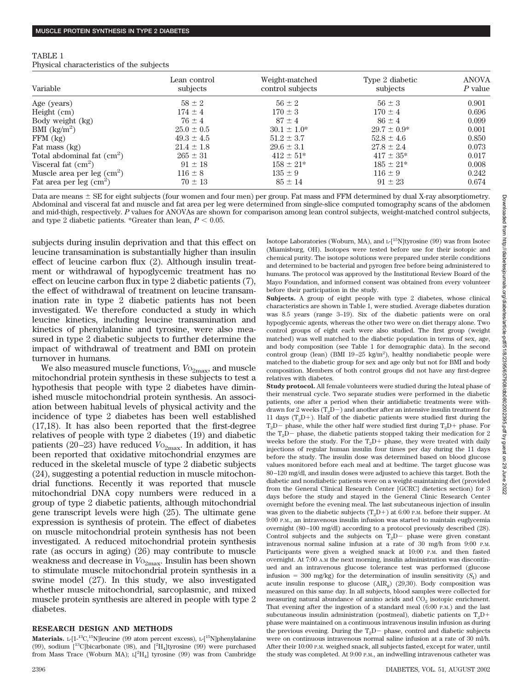| TABLE 1 |                                          |  |
|---------|------------------------------------------|--|
|         | Physical characteristics of the subjects |  |

| Variable                           | Lean control<br>subjects | Weight-matched<br>control subjects | Type 2 diabetic<br>subjects | <b>ANOVA</b><br>$P$ value |
|------------------------------------|--------------------------|------------------------------------|-----------------------------|---------------------------|
| Age (years)                        | $58 \pm 2$               | $56 \pm 2$                         | $56 \pm 3$                  | 0.901                     |
| Height $(cm)$                      | $174 \pm 4$              | $170 \pm 3$                        | $170 \pm 4$                 | 0.696                     |
| Body weight (kg)                   | $76 \pm 4$               | $87 \pm 4$                         | $86 \pm 4$                  | 0.099                     |
| BMI $\frac{\text{kg}}{\text{m}^2}$ | $25.0 \pm 0.5$           | $30.1 \pm 1.0^*$                   | $29.7 \pm 0.9^*$            | 0.001                     |
| $FFM$ $(kg)$                       | $49.3 \pm 4.5$           | $51.2 \pm 3.7$                     | $52.8 \pm 4.6$              | 0.850                     |
| Fat mass (kg)                      | $21.4 \pm 1.8$           | $29.6 \pm 3.1$                     | $27.8 \pm 2.4$              | 0.073                     |
| Total abdominal fat $(cm2)$        | $265 \pm 31$             | $412 \pm 51*$                      | $417 \pm 35*$               | 0.017                     |
| Visceral fat $(cm2)$               | $91 \pm 18$              | $158 \pm 21*$                      | $185 \pm 21*$               | 0.008                     |
| Muscle area per leg $(cm2)$        | $116 \pm 8$              | $135 \pm 9$                        | $116 \pm 9$                 | 0.242                     |
| Fat area per leg $(cm2)$           | $70 \pm 13$              | $85 \pm 14$                        | $91 \pm 23$                 | 0.674                     |

Data are means  $\pm$  SE for eight subjects (four women and four men) per group. Fat mass and FFM determined by dual X-ray absorptiometry. Abdominal and visceral fat and muscle and fat area per leg were determined from single-slice computed tomography scans of the abdomen and mid-thigh, respectively. *P* values for ANOVAs are shown for comparison among lean control subjects, weight-matched control subjects, and type 2 diabetic patients. \*Greater than lean,  $P < 0.05$ .

subjects during insulin deprivation and that this effect on leucine transamination is substantially higher than insulin effect of leucine carbon flux (2). Although insulin treatment or withdrawal of hypoglycemic treatment has no effect on leucine carbon flux in type 2 diabetic patients (7), the effect of withdrawal of treatment on leucine transamination rate in type 2 diabetic patients has not been investigated. We therefore conducted a study in which leucine kinetics, including leucine transamination and kinetics of phenylalanine and tyrosine, were also measured in type 2 diabetic subjects to further determine the impact of withdrawal of treatment and BMI on protein turnover in humans.

We also measured muscle functions,  $V_{{}^{0}2\rm{max}}$ , and muscle mitochondrial protein synthesis in these subjects to test a hypothesis that people with type 2 diabetes have diminished muscle mitochondrial protein synthesis. An association between habitual levels of physical activity and the incidence of type 2 diabetes has been well established (17,18). It has also been reported that the first-degree relatives of people with type 2 diabetes (19) and diabetic patients (20–23) have reduced  $V_{\text{O}_{2\text{max}}}$ . In addition, it has been reported that oxidative mitochondrial enzymes are reduced in the skeletal muscle of type 2 diabetic subjects (24), suggesting a potential reduction in muscle mitochondrial functions. Recently it was reported that muscle mitochondrial DNA copy numbers were reduced in a group of type 2 diabetic patients, although mitochondrial gene transcript levels were high (25). The ultimate gene expression is synthesis of protein. The effect of diabetes on muscle mitochondrial protein synthesis has not been investigated. A reduced mitochondrial protein synthesis rate (as occurs in aging) (26) may contribute to muscle weakness and decrease in  $V_{{}^{0}2max}$ . Insulin has been shown to stimulate muscle mitochondrial protein synthesis in a swine model (27). In this study, we also investigated whether muscle mitochondrial, sarcoplasmic, and mixed muscle protein synthesis are altered in people with type 2 diabetes.

## **RESEARCH DESIGN AND METHODS**

**Materials.** L-[1<sup>-13</sup>C,<sup>15</sup>N]leucine (99 atom percent excess), L-[<sup>15</sup>N]phenylalanine (99), sodium  $[^{13}C]$ bicarbonate (98), and  $[^{2}H_{4}]$ tyrosine (99) were purchased from Mass Trace (Woburn MA); L[<sup>2</sup>H<sub>4</sub>] tyrosine (99) was from Cambridge Isotope Laboratories (Woburn, MA), and  $L^{-15}$ N]tyrosine (99) was from Isotec (Miamisburg, OH). Isotopes were tested before use for their isotopic and chemical purity. The isotope solutions were prepared under sterile conditions and determined to be bacterial and pyrogen free before being administered to humans. The protocol was approved by the Institutional Review Board of the Mayo Foundation, and informed consent was obtained from every volunteer before their participation in the study.

**Subjects.** A group of eight people with type 2 diabetes, whose clinical characteristics are shown in Table 1, were studied. Average diabetes duration was 8.5 years (range 3–19). Six of the diabetic patients were on oral hypoglycemic agents, whereas the other two were on diet therapy alone. Two control groups of eight each were also studied. The first group (weight matched) was well matched to the diabetic population in terms of sex, age, and body composition (see Table 1 for demographic data). In the second control group (lean) (BMI 19-25 kg/m<sup>2</sup>), healthy nondiabetic people were matched to the diabetic group for sex and age only but not for BMI and body composition. Members of both control groups did not have any first-degree relatives with diabetes.

**Study protocol.** All female volunteers were studied during the luteal phase of their menstrual cycle. Two separate studies were performed in the diabetic patients, one after a period when their antidiabetic treatments were withdrawn for 2 weeks (T<sub>2</sub>D – ) and another after an intensive insulin treatment for 11 days  $(T_2D)$ . Half of the diabetic patients were studied first during the  $T_2D$  phase, while the other half were studied first during  $T_2D$  phase. For the  $T_2D$  – phase, the diabetic patients stopped taking their medication for 2 weeks before the study. For the  $T_2D$  phase, they were treated with daily injections of regular human insulin four times per day during the 11 days before the study. The insulin dose was determined based on blood glucose values monitored before each meal and at bedtime. The target glucose was 80–120 mg/dl, and insulin doses were adjusted to achieve this target. Both the diabetic and nondiabetic patients were on a weight-maintaining diet (provided from the General Clinical Research Center [GCRC] dietetics section) for 3 days before the study and stayed in the General Clinic Research Center overnight before the evening meal. The last subcutaneous injection of insulin was given to the diabetic subjects  $(T<sub>2</sub>D+)$  at 6:00 P.M. before their supper. At 9:00 P.M., an intravenous insulin infusion was started to maintain euglycemia overnight (80–100 mg/dl) according to a protocol previously described (28). Control subjects and the subjects on  $T_2D-$  phase were given constant intravenous normal saline infusion at a rate of 30 mg/h from 9:00 P.M. Participants were given a weighed snack at 10:00 P.M. and then fasted overnight. At 7:00 A.M the next morning, insulin administration was discontinued and an intravenous glucose tolerance test was performed (glucose infusion  $=$  300 mg/kg) for the determination of insulin sensitivity  $(S<sub>I</sub>)$  and acute insulin response to glucose  $(AIR_{\sigma})$  (29,30). Body composition was measured on this same day. In all subjects, blood samples were collected for measuring natural abundance of amino acids and  $CO<sub>2</sub>$  isotopic enrichment. That evening after the ingestion of a standard meal (6:00 P.M.) and the last subcutaneous insulin administration (postmeal), diabetic patients on  $T_2D+$ phase were maintained on a continuous intravenous insulin infusion as during the previous evening. During the  $T_2D-$  phase, control and diabetic subjects were on continuous intravenous normal saline infusion at a rate of 30 ml/h. After their 10:00 P.M. weighed snack, all subjects fasted, except for water, until the study was completed. At 9:00 P.M., an indwelling intravenous catheter was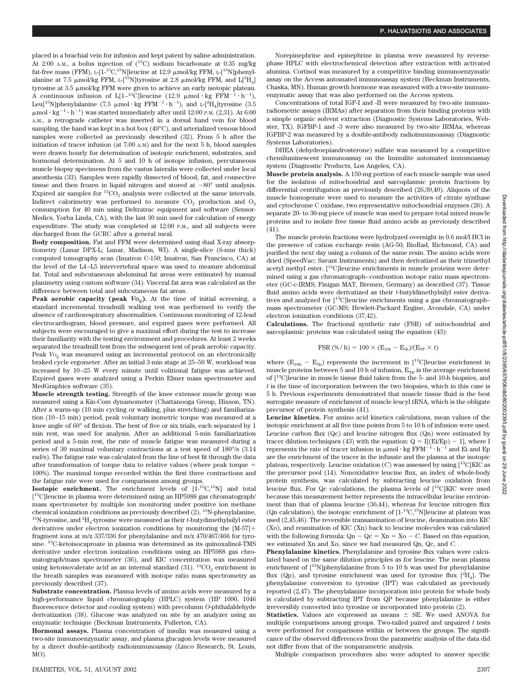placed in a brachial vein for infusion and kept patent by saline administration. At 2:00 A.M., a bolus injection of  $(^{13}C)$  sodium bicarbonate at 0.35 mg/kg fat-free mass (FFM), L-[1-<sup>13</sup>C,<sup>15</sup>N]leucine at 12.9  $\mu$ mol/kg FFM, L-[<sup>15</sup>N]phenylalanine at 7.5  $\upmu \text{mol/kg FFM},$  L-[15N]tyrosine at 2.8  $\upmu \text{mol/kg FFM},$  and L[2H<sub>4</sub>] tyrosine at  $3.5 \mu m$ ol/kg FFM were given to achieve an early isotopic plateau. A continuous infusion of L[1-<sup>13</sup>C]leucine (12.9  $\mu$ mol·kg FFM<sup>-1</sup>·h<sup>-1</sup>), Leu<sup>[15</sup>N]phenylalanine (7.5  $\mu$ mol·kg FFM<sup>-1</sup>·h<sup>-1</sup>), and L-[<sup>2</sup>H<sub>4</sub>]tyrosine (3.5  $\mu$ mol·kg<sup>-1</sup>·h<sup>-1</sup>) was started immediately after until 12:00 P.M. (2,31). At 6:00 A.M., a retrograde catheter was inserted in a dorsal hand vein for blood sampling, the hand was kept in a hot box (49°C), and arterialized venous blood samples were collected as previously described (32). From 5 h after the initiation of tracer infusion (at 7:00 A.M) and for the next 5 h, blood samples were drawn hourly for determination of isotopic enrichment, substrates, and hormonal determination. At 5 and 10 h of isotope infusion, percutaneous muscle biopsy specimens from the vastus lateralis were collected under local anesthesia (33). Samples were rapidly dissected of blood, fat, and connective tissue and then frozen in liquid nitrogen and stored at  $-80^\circ$  until analysis. Expired air samples for  ${}^{13}CO_2$  analysis were collected at the same intervals. Indirect calorimetry was performed to measure  $CO<sub>2</sub>$  production and  $O<sub>2</sub>$ consumption for 40 min using Deltratrac equipment and software (Sensor-Medics, Yorba Linda, CA), with the last 30 min used for calculation of energy expenditure. The study was completed at 12:00 P.M., and all subjects were discharged from the GCRC after a general meal.

**Body composition.** Fat and FFM were determined using dual X-ray absorptiometry (Lunar DPX-L; Lunar, Madison, WI). A single-slice (6-mm thick) computed tomography scan (Imatron C-150; Imatron, San Francisco, CA) at the level of the L4–L5 intervertebral space was used to measure abdominal fat. Total and subcutaneous abdominal fat areas were estimated by manual planimetry using custom software (34). Visceral fat area was calculated as the difference between total and subcutaneous fat areas.

**Peak aerobic capacity (peak**  $V_0$ ). At the time of initial screening, a standard incremental treadmill walking test was performed to verify the absence of cardiorespiratory abnormalities. Continuous monitoring of 12-lead electrocardiogram, blood pressure, and expired gases were performed. All subjects were encouraged to give a maximal effort during the test to increase their familiarity with the testing environment and procedures. At least 2 weeks separated the treadmill test from the subsequent test of peak aerobic capacity. Peak *V*<sub>0</sub><sup>2</sup> was measured using an incremental protocol on an electronically braked cycle ergometer. After an initial 3-min stage at 25–50 W, workload was increased by 10–25 W every minute until volitional fatigue was achieved. Expired gases were analyzed using a Perkin Elmer mass spectrometer and MedGraphics software (35).

**Muscle strength testing.** Strength of the knee extensor muscle group was measured using a Kin-Com dynamometer (Chattanooga Group, Hixson, TN). After a warm-up (10 min cycling or walking, plus stretching) and familiarization (10–15 min) period, peak voluntary isometric torque was measured at a knee angle of 60° of flexion. The best of five or six trials, each separated by 1 min rest, was used for analysis. After an additional 5-min familiarization period and a 5-min rest, the rate of muscle fatigue was measured during a series of 30 maximal voluntary contractions at a test speed of 180°/s (3.14 rad/s). The fatigue rate was calculated from the line of best fit through the data after transformation of torque data to relative values (where peak torque  $=$ 100%). The maximal torque recorded within the first three contractions and the fatigue rate were used for comparisons among groups.

**Isotopic enrichment.** The enrichment levels of  $[1^{-13}C, ^{15}N]$  and total [<sup>13</sup>C]leucine in plasma were determined using an HP5988 gas chromatograph/ mass spectrometer by multiple ion monitoring under positive ion methane chemical ionization conditions as previously described  $(2)$ . <sup>15</sup>N-phenylalanine,  $^{15}{\rm N}$  tyrosine, and  $^{2}{\rm H}_{4}$  tyrosine were measured as their  $t$  -butydimethylsilyl ester derivatives under electron ionization conditions by monitoring the [M-57] fragment ions at m/z 337/336 for phenylalanine and m/z 470/467/466 for tyrosine. 13C-ketoisocaproate in plasma was determined as its quinoxalinol-TMS derivative under electron ionization conditions using an HP5988 gas chromatograph/mass spectrometer (36), and KIC concentration was measured using ketoisovalerate acid as an internal standard  $(31)$ .  ${}^{13}CO_2$  enrichment in the breath samples was measured with isotope ratio mass spectrometry as previously described (37).

**Substrate concentration.** Plasma levels of amino acids were measured by a high-performance liquid chromatography (HPLC) system (HP 1090, 1046 fluorescence detector and cooling system) with precolumn *O*-phthalaldehyde derivatization (38). Glucose was analyzed on site by an analyzer using an enzymatic technique (Beckman Instruments, Fullerton, CA).

**Hormonal assays.** Plasma concentration of insulin was measured using a two-site immunoenzymatic assay, and plasma glucagon levels were measured by a direct double-antibody radioimmunoassay (Linco Research, St. Louis, MO).

Norepinephrine and epinephrine in plasma were measured by reversephase HPLC with electrochemical detection after extraction with activated alumina. Cortisol was measured by a competitive binding immunoenzymatic assay on the Access automated immunoassay system (Beckman Instruments, Chaska, MN). Human growth hormone was measured with a two-site immunoenzymatic assay that was also performed on the Access system.

Concentrations of total IGF-I and -II were measured by two-site immunoradiometric assays (IRMAs) after separation from their binding proteins with a simple organic solvent extraction (Diagnostic Systems Laboratories, Webster, TX). IGFBP-1 and -3 were also measured by two-site IRMAs, whereas IGFBP-2 was measured by a double-antibody radioimmunoassay (Diagnostic Systems Laboratories).

DHEA (dehydroepiandrosterone) sulfate was measured by a competitive chemiluminescent immunoassay on the Immulite automated immunoassay system (Diagnostic Products, Los Angeles, CA).

**Muscle protein analysis.** A 150-mg portion of each muscle sample was used for the isolation of mitochondrial and sarcoplasmic protein fractions by differential centrifugation as previously described (26,39,40). Aliquots of the muscle homogenate were used to measure the activities of citrate synthase and cytochrome C oxidase, two representative mitochondrial enzymes (26). A separate 20- to 30-mg piece of muscle was used to prepare total mixed muscle proteins and to isolate free tissue fluid amino acids as previously described (41).

The muscle protein fractions were hydrolyzed overnight in 0.6 mol/l HCl in the presence of cation exchange resin (AG-50; BioRad, Richmond, CA) and purified the next day using a column of the same resin. The amino acids were dried (SpeedVac; Savant Instruments) and then derivatized as their trimethyl acetyl methyl ester.  $[$ <sup>13</sup>C]leucine enrichments in muscle proteins were determined using a gas chromatograph–combustion isotope ratio mass spectrometer (GC-c-IRMS; Finigan MAT, Bremen, Germany) as described (37). Tissue fluid amino acids were derivatized as their *t*-butyldimethylsilyl ester derivatives and analyzed for [13C]leucine enrichments using a gas chromatograph– mass spectrometer (GC-MS; Hewlett-Packard Engine, Avondale, CA) under electron ionization conditions (37,42).

**Calculations.** The fractional synthetic rate (FSR) of mitochondrial and sarcoplasmic proteins was calculated using the equation (43):

$$
FSR (\% / h) = 100 \times (E_{10h} - E_{5h})/(E_{TF} \times t)
$$

where  $(E_{10h} - E_{5h})$  represents the increment in [<sup>13</sup>C]leucine enrichment in muscle proteins between 5 and 10 h of infusion,  $E_{\text{TE}}$  is the average enrichment of [13C]leucine in muscle tissue fluid taken from the 5- and 10-h biopsies, and *t* is the time of incorporation between the two biopsies, which in this case is 5 h. Previous experiments demonstrated that muscle tissue fluid is the best surrogate measure of enrichment of muscle leucyl tRNA, which is the obligate precursor of protein synthesis (41).

**Leucine kinetics.** For amino acid kinetics calculations, mean values of the isotopic enrichment at all five time points from 5 to 10 h of infusion were used. Leucine carbon flux (Qc) and leucine nitrogen flux (Qn) were estimated by tracer dilution techniques (43) with the equation:  $Q = I[(Ei/Ep) - 1]$ , where I represents the rate of tracer infusion in  $\mu$ mol·kg FFM<sup>-1</sup>·h<sup>-1</sup> and Ei and Ep are the enrichment of the tracer in the infusate and the plasma at the isotopic plateau, respectively. Leucine oxidation  $(C)$  was assessed by using  $[13C]KIC$  as the precursor pool (14). Nonoxidative leucine flux, an index of whole-body protein synthesis, was calculated by subtracting leucine oxidation from leucine flux. For Qc calculations, the plasma levels of [13C]KIC were used because this measurement better represents the intracellular leucine environment than that of plasma leucine (36,44), whereas for leucine nitrogen flux (Qn calculation), the isotopic enrichment of  $[1^{-13}C, ^{15}N]$ leucine at plateau was used (2,45,46). The reversible transamination of leucine, deamination into KIC (Xo), and reamination of KIC (Xn) back to leucine molecules was calculated with the following formula:  $Qn - Qc = Xn = Xo - C$ . Based on this equation, we estimated Xn and Xo, since we had measured Qn, Qc, and *C*.

**Phenylalanine kinetics.** Phenylalanine and tyrosine flux values were calculated based on the same dilution principles as for leucine. The mean plasma enrichment of  $\binom{15}{1}$ phenylalanine from 5 to 10 h was used for phenylalanine flux (Qp), and tyrosine enrichment was used for tyrosine flux  $[^{2}H_{4}]$ . The phenylalanine conversion to tyrosine (IPT) was calculated as previously reported (2,47). The phenylalanine incorporation into protein for whole body is calculated by subtracting IPT from QP because phenylalanine is either irreversibly converted into tyrosine or incorporated into protein (2).

**Statistics.** Values are expressed as means  $\pm$  SE. We used ANOVA for multiple comparisons among groups. Two-tailed paired and unpaired *t* tests were performed for comparisons within or between the groups. The significance of the observed differences from the parametric analysis of the data did not differ from that of the nonparametric analysis.

Multiple comparison procedures also were adopted to answer specific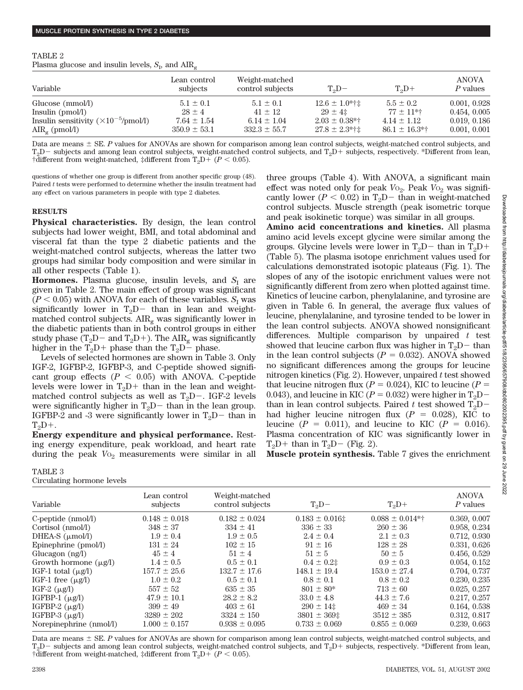### TABLE 2

Plasma glucose and insulin levels,  $S_{\rm{I}}$ , and  $\rm{AIR}_{\rm{g}}$ 

| Variable                                       | Lean control<br>subjects | Weight-matched<br>control subjects | $T_2D-$            | $T_2D+$           | <b>ANOVA</b><br>P values |
|------------------------------------------------|--------------------------|------------------------------------|--------------------|-------------------|--------------------------|
| Glucose (mmol/l)                               | $5.1 \pm 0.1$            | $5.1 \pm 0.1$                      | $12.6 \pm 1.0$ *†‡ | $5.5 \pm 0.2$     | 0.001, 0.928             |
| Insulin $(pmol/l)$                             | $28 \pm 4$               | $41 \pm 12$                        | $29 \pm 41$        | $77 \pm 11$ *†    | 0.454, 0.005             |
| Insulin sensitivity $(\times 10^{-5}$ /pmol/l) | $7.64 \pm 1.54$          | $6.14 \pm 1.04$                    | $2.03 \pm 0.38**$  | $4.14 \pm 1.12$   | 0.019, 0.186             |
| $\text{AIR}_{\alpha}$ (pmol/l)                 | $350.9 \pm 53.1$         | $332.3 \pm 55.7$                   | $27.8 \pm 2.3$ *†‡ | $86.1 \pm 16.3**$ | 0.001, 0.001             |

Data are means  $\pm$  SE. P values for ANOVAs are shown for comparison among lean control subjects, weight-matched control subjects, and  $T_2D-$  subjects and among lean control subjects, weight-matched control subjects, and  $T_2D+$  subjects, respectively. \*Different from lean, †different from weight-matched, ‡different from  $T_2D + (P < 0.05)$ .

questions of whether one group is different from another specific group (48). Paired *t* tests were performed to determine whether the insulin treatment had any effect on various parameters in people with type 2 diabetes.

## **RESULTS**

**Physical characteristics.** By design, the lean control subjects had lower weight, BMI, and total abdominal and visceral fat than the type 2 diabetic patients and the weight-matched control subjects, whereas the latter two groups had similar body composition and were similar in all other respects (Table 1).

**Hormones.** Plasma glucose, insulin levels, and  $S<sub>I</sub>$  are given in Table 2. The main effect of group was significant  $(P < 0.05)$  with ANOVA for each of these variables.  $S<sub>I</sub>$  was significantly lower in  $T_2D-$  than in lean and weightmatched control subjects.  $\text{AIR}_{\sigma}$  was significantly lower in the diabetic patients than in both control groups in either study phase (T<sub>2</sub>D – and T<sub>2</sub>D + ). The AIR<sub>g</sub> was significantly higher in the  $T_2D+$  phase than the  $T_2D-$  phase.

Levels of selected hormones are shown in Table 3. Only IGF-2, IGFBP-2, IGFBP-3, and C-peptide showed significant group effects  $(P < 0.05)$  with ANOVA. C-peptide levels were lower in  $T_2D+$  than in the lean and weightmatched control subjects as well as  $T_2D-$ . IGF-2 levels were significantly higher in  $T_2D$  than in the lean group. IGFBP-2 and -3 were significantly lower in  $T_2D-$  than in  $T_2D+$ .

**Energy expenditure and physical performance.** Resting energy expenditure, peak workload, and heart rate during the peak  $V_{{}^{O_2}}$  measurements were similar in all

# TABLE 3

Circulating hormone levels

three groups (Table 4). With ANOVA, a significant main effect was noted only for peak  $V_{{}^{0}2}$ . Peak  $V_{{}^{0}2}$  was significantly lower ( $P < 0.02$ ) in T<sub>2</sub>D- than in weight-matched control subjects. Muscle strength (peak isometric torque and peak isokinetic torque) was similar in all groups.

**Amino acid concentrations and kinetics.** All plasma amino acid levels except glycine were similar among the groups. Glycine levels were lower in  $T_2D-$  than in  $T_2D+$ (Table 5). The plasma isotope enrichment values used for calculations demonstrated isotopic plateaus (Fig. 1). The slopes of any of the isotopic enrichment values were not significantly different from zero when plotted against time. Kinetics of leucine carbon, phenylalanine, and tyrosine are given in Table 6. In general, the average flux values of leucine, phenylalanine, and tyrosine tended to be lower in the lean control subjects. ANOVA showed nonsignificant differences. Multiple comparison by unpaired *t* test showed that leucine carbon flux was higher in  $T_2D-$  than in the lean control subjects  $(P = 0.032)$ . ANOVA showed no significant differences among the groups for leucine nitrogen kinetics (Fig. 2). However, unpaired *t* test showed that leucine nitrogen flux ( $P = 0.024$ ), KIC to leucine ( $P =$ 0.043), and leucine in KIC ( $P = 0.032$ ) were higher in T<sub>2</sub>D<sup>-</sup> than in lean control subjects. Paired *t* test showed  $T_2D$ had higher leucine nitrogen flux  $(P = 0.028)$ , KIC to leucine ( $P = 0.011$ ), and leucine to KIC ( $P = 0.016$ ). Plasma concentration of KIC was significantly lower in  $T_2D+$  than in  $T_2D-$  (Fig. 2).

**Muscle protein synthesis.** Table 7 gives the enrichment

| encantum normone revers                     |                          |                                    |                      |                      |                          |
|---------------------------------------------|--------------------------|------------------------------------|----------------------|----------------------|--------------------------|
| Variable                                    | Lean control<br>subjects | Weight-matched<br>control subjects | $T_2D-$              | $T_2D+$              | <b>ANOVA</b><br>P values |
| $C$ -peptide ( $nmol/l$ )                   | $0.148 \pm 0.018$        | $0.182 \pm 0.024$                  | $0.183 \pm 0.016$ ‡  | $0.088 \pm 0.014$ *† | 0.369, 0.007             |
| Cortisol (nmol/l)                           | $348 \pm 37$             | $334 \pm 41$                       | $336 \pm 33$         | $260 \pm 36$         | 0.958, 0.234             |
| DHEA-S $(\mu \text{mol/l})$                 | $1.9 \pm 0.4$            | $1.9 \pm 0.5$                      | $2.4 \pm 0.4$        | $2.1 \pm 0.3$        | 0.712, 0.930             |
| Epinephrine (pmol/l)                        | $131 \pm 24$             | $102 \pm 15$                       | $91 \pm 16$          | $128 \pm 28$         | 0.331, 0.626             |
| Glucagon $(ng/l)$                           | $45 \pm 4$               | $51 \pm 4$                         | $51 \pm 5$           | $50 \pm 5$           | 0.456, 0.529             |
| Growth hormone $(\mu\mathbf{g}/\mathbf{l})$ | $1.4 \pm 0.5$            | $0.5 \pm 0.1$                      | $0.4 \pm 0.2$ ‡      | $0.9 \pm 0.3$        | 0.054, 0.152             |
| IGF-1 total $(\mu g/l)$                     | $157.7 \pm 25.6$         | $132.7 \pm 17.6$                   | $148.1 \pm 19.4$     | $153.0 \pm 27.4$     | 0.704, 0.737             |
| IGF-1 free $(\mu g/l)$                      | $1.0 \pm 0.2$            | $0.5 \pm 0.1$                      | $0.8 \pm 0.1$        | $0.8 \pm 0.2$        | 0.230, 0.235             |
| IGF-2 $(\mu g/l)$                           | $557 \pm 52$             | $635 \pm 35$                       | $801 \pm 80*$        | $713 \pm 60$         | 0.025, 0.257             |
| IGFBP-1 $(\mu g/l)$                         | $47.9 \pm 10.1$          | $28.2 \pm 8.2$                     | $33.0 \pm 4.8$       | $44.3 \pm 7.6$       | 0.217, 0.257             |
| IGFBP-2 $(\mu g/l)$                         | $399 \pm 49$             | $403 \pm 61$                       | $290 \pm 14$ #       | $469 \pm 34$         | 0.164, 0.538             |
| IGFBP-3 $(\mu g/l)$                         | $3289 \pm 202$           | $3324 \pm 150$                     | $3801 \pm 369$ $\pm$ | $3512 \pm 385$       | 0.312, 0.817             |
| Norepinephrine (nmol/l)                     | $1.000 \pm 0.157$        | $0.938 \pm 0.095$                  | $0.733 \pm 0.069$    | $0.855 \pm 0.069$    | 0.239, 0.663             |
|                                             |                          |                                    |                      |                      |                          |

Data are means  $\pm$  SE. *P* values for ANOVAs are shown for comparison among lean control subjects, weight-matched control subjects, and  $T_2D-$  subjects and among lean control subjects, weight-matched control subjects, and  $T_2D+$  subjects, respectively. \*Different from lean, †different from weight-matched, ‡different from  $T_2D + (P < 0.05)$ .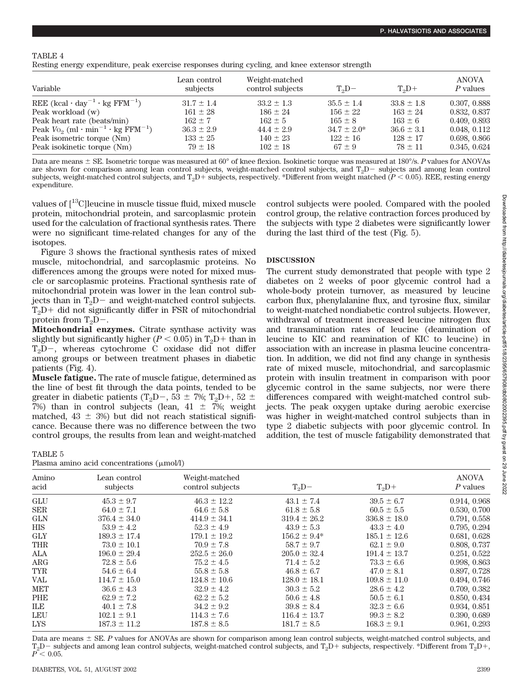## TABLE 4

| Resting energy expenditure, peak exercise responses during cycling, and knee extensor strength |  |  |  |  |
|------------------------------------------------------------------------------------------------|--|--|--|--|
|                                                                                                |  |  |  |  |

| Variable                                                                           | Lean control<br>subjects    | Weight-matched<br>control subjects | $T_2D-$                    | $T_2D+$                     | <b>ANOVA</b><br>P values     |
|------------------------------------------------------------------------------------|-----------------------------|------------------------------------|----------------------------|-----------------------------|------------------------------|
| REE $(kcal \cdot day^{-1} \cdot kg$ FFM <sup>-1</sup> )                            | $31.7 \pm 1.4$              | $33.2 \pm 1.3$                     | $35.5 \pm 1.4$             | $33.8 \pm 1.8$              | 0.307, 0.888                 |
| Peak workload (w)                                                                  | $161 \pm 28$                | $186 \pm 24$                       | $156 \pm 22$               | $163 \pm 24$                | 0.832, 0.837                 |
| Peak heart rate (beats/min)                                                        | $162 + 7$                   | $162 \pm 5$                        | $165 \pm 8$                | $163 \pm 6$                 | 0.409, 0.893                 |
| Peak $V_{\text{O}_2}$ (ml $\cdot$ min <sup>-1</sup> $\cdot$ kg FFM <sup>-1</sup> ) | $36.3 \pm 2.9$              | $44.4 \pm 2.9$                     | $34.7 \pm 2.0^*$           | $36.6 \pm 3.1$              | 0.048, 0.112                 |
| Peak isometric torque (Nm)<br>Peak isokinetic torque (Nm)                          | $133 \pm 25$<br>$79 \pm 18$ | $140 \pm 23$<br>$102 \pm 18$       | $122 \pm 16$<br>$67 \pm 9$ | $128 \pm 17$<br>$78 \pm 11$ | 0.698, 0.866<br>0.345, 0.624 |

Data are means  $\pm$  SE. Isometric torque was measured at 60° of knee flexion. Isokinetic torque was measured at 180°/s. P values for ANOVAs are shown for comparison among lean control subjects, weight-matched control subjects, and  $T_2D-$  subjects and among lean control subjects, weight-matched control subjects, and  $T_2D+$  subjects, respectively. \*Different from weight matched ( $P < 0.05$ ). REE, resting energy expenditure.

values of [13C]leucine in muscle tissue fluid, mixed muscle protein, mitochondrial protein, and sarcoplasmic protein used for the calculation of fractional synthesis rates. There were no significant time-related changes for any of the isotopes.

Figure 3 shows the fractional synthesis rates of mixed muscle, mitochondrial, and sarcoplasmic proteins. No differences among the groups were noted for mixed muscle or sarcoplasmic proteins. Fractional synthesis rate of mitochondrial protein was lower in the lean control subjects than in  $T_2D$  – and weight-matched control subjects.  $T<sub>2</sub>D$  did not significantly differ in FSR of mitochondrial protein from  $T_2D-$ .

**Mitochondrial enzymes.** Citrate synthase activity was slightly but significantly higher ( $P < 0.05$ ) in T<sub>2</sub>D + than in  $T_2D-$ , whereas cytochrome C oxidase did not differ among groups or between treatment phases in diabetic patients (Fig. 4).

**Muscle fatigue.** The rate of muscle fatigue, determined as the line of best fit through the data points, tended to be greater in diabetic patients (T<sub>2</sub>D-, 53  $\pm$  7%; T<sub>2</sub>D+, 52  $\pm$ 7%) than in control subjects (lean,  $41 \pm 7$ %; weight matched,  $43 \pm 3\%$  but did not reach statistical significance. Because there was no difference between the two control groups, the results from lean and weight-matched

TABLE 5 Plasma amino acid concentrations (umol/l) control subjects were pooled. Compared with the pooled control group, the relative contraction forces produced by the subjects with type 2 diabetes were significantly lower during the last third of the test (Fig. 5).

## **DISCUSSION**

The current study demonstrated that people with type 2 diabetes on 2 weeks of poor glycemic control had a whole-body protein turnover, as measured by leucine carbon flux, phenylalanine flux, and tyrosine flux, similar to weight-matched nondiabetic control subjects. However, withdrawal of treatment increased leucine nitrogen flux and transamination rates of leucine (deamination of leucine to KIC and reamination of KIC to leucine) in association with an increase in plasma leucine concentration. In addition, we did not find any change in synthesis rate of mixed muscle, mitochondrial, and sarcoplasmic protein with insulin treatment in comparison with poor glycemic control in the same subjects, nor were there differences compared with weight-matched control subjects. The peak oxygen uptake during aerobic exercise was higher in weight-matched control subjects than in type 2 diabetic subjects with poor glycemic control. In addition, the test of muscle fatigability demonstrated that

|               | 1 <i>hostito catalle were</i> concentrated (pentori) |                                    |                  |                  |                          |
|---------------|------------------------------------------------------|------------------------------------|------------------|------------------|--------------------------|
| Amino<br>acid | Lean control<br>subjects                             | Weight-matched<br>control subjects | $T_2D-$          | $T_2D+$          | <b>ANOVA</b><br>P values |
| <b>GLU</b>    | $45.3 \pm 9.7$                                       | $46.3 \pm 12.2$                    | $43.1 \pm 7.4$   | $39.5 \pm 6.7$   | 0.914, 0.968             |
| <b>SER</b>    | $64.0 \pm 7.1$                                       | $64.6 \pm 5.8$                     | $61.8 \pm 5.8$   | $60.5 \pm 5.5$   | 0.530, 0.700             |
| <b>GLN</b>    | $376.4 \pm 34.0$                                     | $414.9 \pm 34.1$                   | $319.4 \pm 26.2$ | $336.8 \pm 18.0$ | 0.791, 0.558             |
| <b>HIS</b>    | $53.9 \pm 4.2$                                       | $52.3 \pm 4.9$                     | $43.9 \pm 5.3$   | $43.3 \pm 4.0$   | 0.795, 0.294             |
| <b>GLY</b>    | $189.3 \pm 17.4$                                     | $179.1 \pm 19.2$                   | $156.2 \pm 9.4*$ | $185.1 \pm 12.6$ | 0.681, 0.628             |
| <b>THR</b>    | $73.0 \pm 10.1$                                      | $70.9 \pm 7.8$                     | $58.7 \pm 9.7$   | $62.1 \pm 9.0$   | 0.808, 0.737             |
| ALA           | $196.0 \pm 29.4$                                     | $252.5 \pm 26.0$                   | $205.0 \pm 32.4$ | $191.4 \pm 13.7$ | 0.251, 0.522             |
| $\rm{ARG}$    | $72.8 \pm 5.6$                                       | $75.2 \pm 4.5$                     | $71.4 \pm 5.2$   | $73.3 \pm 6.6$   | 0.998, 0.863             |
| TYR           | $54.6 \pm 6.4$                                       | $55.8 \pm 5.8$                     | $46.8 \pm 6.7$   | $47.0 \pm 8.1$   | 0.897, 0.728             |
| <b>VAL</b>    | $114.7 \pm 15.0$                                     | $124.8 \pm 10.6$                   | $128.0 \pm 18.1$ | $109.8 \pm 11.0$ | 0.494, 0.746             |
| <b>MET</b>    | $36.6 \pm 4.3$                                       | $32.9 \pm 4.2$                     | $30.3 \pm 5.2$   | $28.6 \pm 4.2$   | 0.709, 0.382             |
| <b>PHE</b>    | $62.9 \pm 7.2$                                       | $62.2 \pm 5.2$                     | $50.6 \pm 4.8$   | $50.5 \pm 6.1$   | 0.850, 0.434             |
| ILE           | $40.1 \pm 7.8$                                       | $34.2 \pm 9.2$                     | $39.8 \pm 8.4$   | $32.3 \pm 6.6$   | 0.934, 0.851             |
| LEU           | $102.1 \pm 9.1$                                      | $114.3 \pm 7.6$                    | $116.4 \pm 13.7$ | $99.3 \pm 8.2$   | 0.390, 0.689             |
| <b>LYS</b>    | $187.3 \pm 11.2$                                     | $187.8 \pm 8.5$                    | $181.7 \pm 8.5$  | $168.3 \pm 9.1$  | 0.961, 0.293             |

Data are means  $\pm$  SE. *P* values for ANOVAs are shown for comparison among lean control subjects, weight-matched control subjects, and  $\rm T_2D-$  subjects and among lean control subjects, weight-matched control subjects, and  $\rm T_2D+$  subjects, respectively. \*Different from  $\rm T_2D+$ ,  $P^{\sim}$  0.05.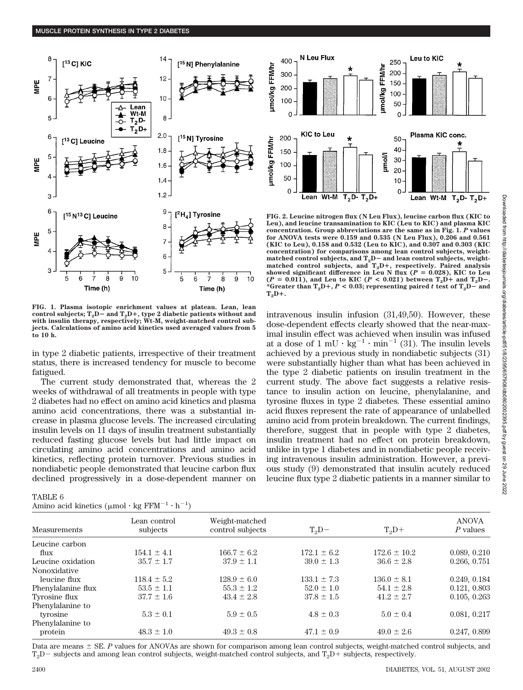

**FIG. 1. Plasma isotopic enrichment values at plateau. Lean, lean control subjects; T2D**- **and T2D, type 2 diabetic patients without and with insulin therapy, respectively; Wt-M, weight-matched control subjects. Calculations of amino acid kinetics used averaged values from 5 to 10 h.**

in type 2 diabetic patients, irrespective of their treatment status, there is increased tendency for muscle to become fatigued.

The current study demonstrated that, whereas the 2 weeks of withdrawal of all treatments in people with type 2 diabetes had no effect on amino acid kinetics and plasma amino acid concentrations, there was a substantial increase in plasma glucose levels. The increased circulating insulin levels on 11 days of insulin treatment substantially reduced fasting glucose levels but had little impact on circulating amino acid concentrations and amino acid kinetics, reflecting protein turnover. Previous studies in nondiabetic people demonstrated that leucine carbon flux declined progressively in a dose-dependent manner on

## TABLE 6

|  |  | Amino acid kinetics $(\mu \text{mol} \cdot \text{kg} \text{FFM}^{-1} \cdot \text{h}^{-1})$ |  |  |  |  |  |
|--|--|--------------------------------------------------------------------------------------------|--|--|--|--|--|
|--|--|--------------------------------------------------------------------------------------------|--|--|--|--|--|



**FIG. 2. Leucine nitrogen flux (N Leu Flux), leucine carbon flux (KIC to Leu), and leucine transamination to KIC (Leu to KIC) and plasma KIC concentration. Group abbreviations are the same as in Fig. 1.** *P* **values for ANOVA tests were 0.159 and 0.535 (N Leu Flux), 0.206 and 0.561 (KIC to Leu), 0.158 and 0.532 (Leu to KIC), and 0.307 and 0.303 (KIC concentration) for comparisons among lean control subjects, weight**matched control subjects, and T<sub>2</sub>D- and lean control subjects, weight-<br>matched control subjects, and T<sub>2</sub>D+, respectively. Paired analysis showed significant difference in Leu N flux ( $P = 0.028$ ), KIC to Leu  $(P = 0.011)$ , and Leu to KIC ( $P < 0.021$ ) between  $T_2D +$  and  $T_2D -$ . \*Greater than  $T_2D$ +,  $P$  < 0.03; representing paired  $t$  test of  $T_2D$ - and  $T_2D +$ 

intravenous insulin infusion (31,49,50). However, these dose-dependent effects clearly showed that the near-maximal insulin effect was achieved when insulin was infused at a dose of  $1 \text{ mU} \cdot \text{kg}^{-1} \cdot \text{min}^{-1}$  (31). The insulin levels achieved by a previous study in nondiabetic subjects (31) were substantially higher than what has been achieved in the type 2 diabetic patients on insulin treatment in the current study. The above fact suggests a relative resistance to insulin action on leucine, phenylalanine, and tyrosine fluxes in type 2 diabetes. These essential amino acid fluxes represent the rate of appearance of unlabelled amino acid from protein breakdown. The current findings, therefore, suggest that in people with type 2 diabetes, insulin treatment had no effect on protein breakdown, unlike in type 1 diabetes and in nondiabetic people receiving intravenous insulin administration. However, a previous study (9) demonstrated that insulin acutely reduced leucine flux type 2 diabetic patients in a manner similar to

| Measurements       | Lean control<br>subjects | Weight-matched<br>control subjects | $T_2D-$         | $T_2D+$          | <b>ANOVA</b><br>P values |
|--------------------|--------------------------|------------------------------------|-----------------|------------------|--------------------------|
| Leucine carbon     |                          |                                    |                 |                  |                          |
| flux               | $154.1 \pm 4.1$          | $166.7 \pm 6.2$                    | $172.1 \pm 6.2$ | $172.6 \pm 10.2$ | 0.089, 0.210             |
| Leucine oxidation  | $35.7 \pm 1.7$           | $37.9 \pm 1.1$                     | $39.0 \pm 1.3$  | $36.6 \pm 2.8$   | 0.266, 0.751             |
| Nonoxidative       |                          |                                    |                 |                  |                          |
| leucine flux       | $118.4 \pm 5.2$          | $128.9 \pm 6.0$                    | $133.1 \pm 7.3$ | $136.0 \pm 8.1$  | 0.249, 0.184             |
| Phenylalanine flux | $53.5 \pm 1.1$           | $55.3 \pm 1.2$                     | $52.0 \pm 1.0$  | $54.1 \pm 2.8$   | 0.121, 0.803             |
| Tyrosine flux      | $37.7 \pm 1.6$           | $43.4 \pm 2.8$                     | $37.8 \pm 1.5$  | $41.2 \pm 2.7$   | 0.105, 0.263             |
| Phenylalanine to   |                          |                                    |                 |                  |                          |
| tyrosine           | $5.3 \pm 0.1$            | $5.9 \pm 0.5$                      | $4.8 \pm 0.3$   | $5.0 \pm 0.4$    | 0.081, 0.217             |
| Phenylalanine to   |                          |                                    |                 |                  |                          |
| protein            | $48.3 \pm 1.0$           | $49.3 \pm 0.8$                     | $47.1 \pm 0.9$  | $49.0 \pm 2.6$   | 0.247, 0.899             |
|                    |                          |                                    |                 |                  |                          |

Data are means  $\pm$  SE. *P* values for ANOVAs are shown for comparison among lean control subjects, weight-matched control subjects, and  $T_2D-$  subjects and among lean control subjects, weight-matched control subjects, and  $T_2D+$  subjects, respectively.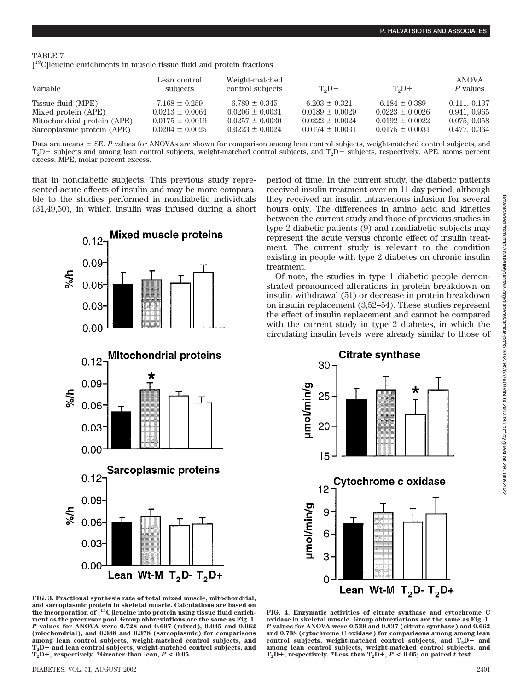|--|

[ 13C]leucine enrichments in muscle tissue fluid and protein fractions

| Variable                    | Lean control<br>subjects | Weight-matched<br>control subjects | $T_2D-$             | $T_2D+$             | ANOVA<br>P values |
|-----------------------------|--------------------------|------------------------------------|---------------------|---------------------|-------------------|
| Tissue fluid (MPE)          | $7.168 \pm 0.259$        | $6.789 \pm 0.345$                  | $6.203 \pm 0.321$   | 6.184 $\pm$ 0.389   | 0.111, 0.137      |
| Mixed protein (APE)         | $0.0213 \pm 0.0064$      | $0.0206 \pm 0.0031$                | $0.0189 \pm 0.0029$ | $0.0223 \pm 0.0026$ | 0.941, 0.965      |
| Mitochondrial protein (APE) | $0.0175 \pm 0.0019$      | $0.0257 \pm 0.0030$                | $0.0222 \pm 0.0024$ | $0.0192 \pm 0.0022$ | 0.075, 0.058      |
| Sarcoplasmic protein (APE)  | $0.0204 \pm 0.0025$      | $0.0223 \pm 0.0024$                | $0.0174 \pm 0.0031$ | $0.0175 \pm 0.0031$ | 0.477, 0.364      |

Data are means  $\pm$  SE. *P* values for ANOVAs are shown for comparison among lean control subjects, weight-matched control subjects, and  $T_2D-$  subjects and among lean control subjects, weight-matched control subjects, and  $T_2D+$  subjects, respectively. APE, atoms percent excess; MPE, molar percent excess.

that in nondiabetic subjects. This previous study represented acute effects of insulin and may be more comparable to the studies performed in nondiabetic individuals (31,49,50), in which insulin was infused during a short



**FIG. 3. Fractional synthesis rate of total mixed muscle, mitochondrial, and sarcoplasmic protein in skeletal muscle. Calculations are based on the incorporation of [13C]leucine into protein using tissue fluid enrichment as the precursor pool. Group abbreviations are the same as Fig. 1.** *P* **values for ANOVA were 0.728 and 0.697 (mixed), 0.045 and 0.062 (miochondrial), and 0.388 and 0.378 (sarcoplasmic) for comparisons among lean control subjects, weight-matched control subjects, and T2D**- **and lean control subjects, weight-matched control subjects, and**  $T_2D+$ , respectively. \*Greater than lean,  $P < 0.05$ .

period of time. In the current study, the diabetic patients received insulin treatment over an 11-day period, although they received an insulin intravenous infusion for several hours only. The differences in amino acid and kinetics between the current study and those of previous studies in type 2 diabetic patients (9) and nondiabetic subjects may represent the acute versus chronic effect of insulin treatment. The current study is relevant to the condition existing in people with type 2 diabetes on chronic insulin treatment.

Of note, the studies in type 1 diabetic people demonstrated pronounced alterations in protein breakdown on insulin withdrawal (51) or decrease in protein breakdown on insulin replacement (3,52–54). These studies represent the effect of insulin replacement and cannot be compared with the current study in type 2 diabetes, in which the circulating insulin levels were already similar to those of



**FIG. 4. Enzymatic activities of citrate synthase and cytochrome C oxidase in skeletal muscle. Group abbreviations are the same as Fig. 1.** *P* **values for ANOVA were 0.539 and 0.837 (citrate synthase) and 0.662 and 0.738 (cytochrome C oxidase) for comparisons among among lean** control subjects, weight-matched control subjects, and T<sub>2</sub>D- and **among lean control subjects, weight-matched control subjects, and**  $T_2D+$ , respectively. \*Less than  $T_2D+$ ,  $P < 0.05$ ; on paired *t* test.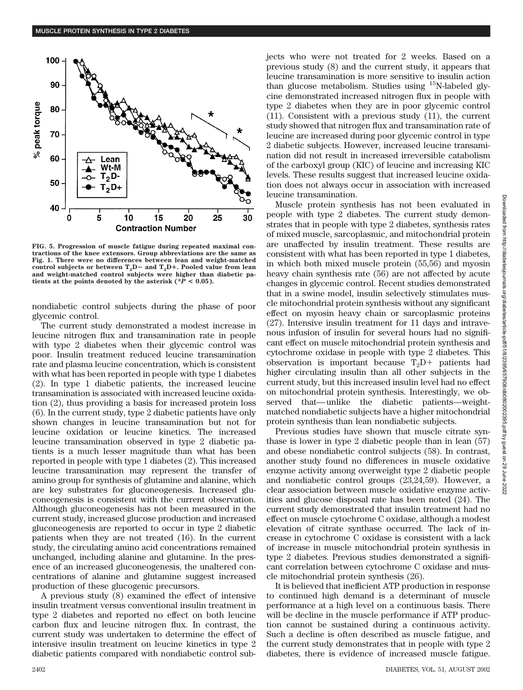

**FIG. 5. Progression of muscle fatigue during repeated maximal contractions of the knee extensors. Group abbreviations are the same as Fig. 1. There were no differences between lean and weight-matched** control subjects or between  $T_2D$  and  $T_2D$ <sup>+</sup>. Pooled value from lean **and weight-matched control subjects were higher than diabetic patients at the points denoted by the asterisk (** $P < 0.05$ **).** 

nondiabetic control subjects during the phase of poor glycemic control.

The current study demonstrated a modest increase in leucine nitrogen flux and transamination rate in people with type 2 diabetes when their glycemic control was poor. Insulin treatment reduced leucine transamination rate and plasma leucine concentration, which is consistent with what has been reported in people with type 1 diabetes (2). In type 1 diabetic patients, the increased leucine transamination is associated with increased leucine oxidation (2), thus providing a basis for increased protein loss (6). In the current study, type 2 diabetic patients have only shown changes in leucine transamination but not for leucine oxidation or leucine kinetics. The increased leucine transamination observed in type 2 diabetic patients is a much lesser magnitude than what has been reported in people with type 1 diabetes (2). This increased leucine transamination may represent the transfer of amino group for synthesis of glutamine and alanine, which are key substrates for gluconeogenesis. Increased gluconeogenesis is consistent with the current observation. Although gluconeogenesis has not been measured in the current study, increased glucose production and increased gluconeogenesis are reported to occur in type 2 diabetic patients when they are not treated (16). In the current study, the circulating amino acid concentrations remained unchanged, including alanine and glutamine. In the presence of an increased gluconeogenesis, the unaltered concentrations of alanine and glutamine suggest increased production of these glucogenic precursors.

A previous study (8) examined the effect of intensive insulin treatment versus conventional insulin treatment in type 2 diabetes and reported no effect on both leucine carbon flux and leucine nitrogen flux. In contrast, the current study was undertaken to determine the effect of intensive insulin treatment on leucine kinetics in type 2 diabetic patients compared with nondiabetic control subjects who were not treated for 2 weeks. Based on a previous study (8) and the current study, it appears that leucine transamination is more sensitive to insulin action than glucose metabolism. Studies using  $^{15}$ N-labeled glycine demonstrated increased nitrogen flux in people with type 2 diabetes when they are in poor glycemic control (11). Consistent with a previous study (11), the current study showed that nitrogen flux and transamination rate of leucine are increased during poor glycemic control in type 2 diabetic subjects. However, increased leucine transamination did not result in increased irreversible catabolism of the carboxyl group (KIC) of leucine and increasing KIC levels. These results suggest that increased leucine oxidation does not always occur in association with increased leucine transamination.

Muscle protein synthesis has not been evaluated in people with type 2 diabetes. The current study demonstrates that in people with type 2 diabetes, synthesis rates of mixed muscle, sarcoplasmic, and mitochondrial protein are unaffected by insulin treatment. These results are consistent with what has been reported in type 1 diabetes, in which both mixed muscle protein (55,56) and myosin heavy chain synthesis rate (56) are not affected by acute changes in glycemic control. Recent studies demonstrated that in a swine model, insulin selectively stimulates muscle mitochondrial protein synthesis without any significant effect on myosin heavy chain or sarcoplasmic proteins (27). Intensive insulin treatment for 11 days and intravenous infusion of insulin for several hours had no significant effect on muscle mitochondrial protein synthesis and cytochrome oxidase in people with type 2 diabetes. This observation is important because  $T_2D$  patients had higher circulating insulin than all other subjects in the current study, but this increased insulin level had no effect on mitochondrial protein synthesis. Interestingly, we observed that—unlike the diabetic patients—weightmatched nondiabetic subjects have a higher mitochondrial protein synthesis than lean nondiabetic subjects.

Previous studies have shown that muscle citrate synthase is lower in type 2 diabetic people than in lean (57) and obese nondiabetic control subjects (58). In contrast, another study found no differences in muscle oxidative enzyme activity among overweight type 2 diabetic people and nondiabetic control groups (23,24,59). However, a clear association between muscle oxidative enzyme activities and glucose disposal rate has been noted (24). The current study demonstrated that insulin treatment had no effect on muscle cytochrome C oxidase, although a modest elevation of citrate synthase occurred. The lack of increase in cytochrome C oxidase is consistent with a lack of increase in muscle mitochondrial protein synthesis in type 2 diabetes. Previous studies demonstrated a significant correlation between cytochrome C oxidase and muscle mitochondrial protein synthesis (26).

It is believed that inefficient ATP production in response to continued high demand is a determinant of muscle performance at a high level on a continuous basis. There will be decline in the muscle performance if ATP production cannot be sustained during a continuous activity. Such a decline is often described as muscle fatigue, and the current study demonstrates that in people with type 2 diabetes, there is evidence of increased muscle fatigue.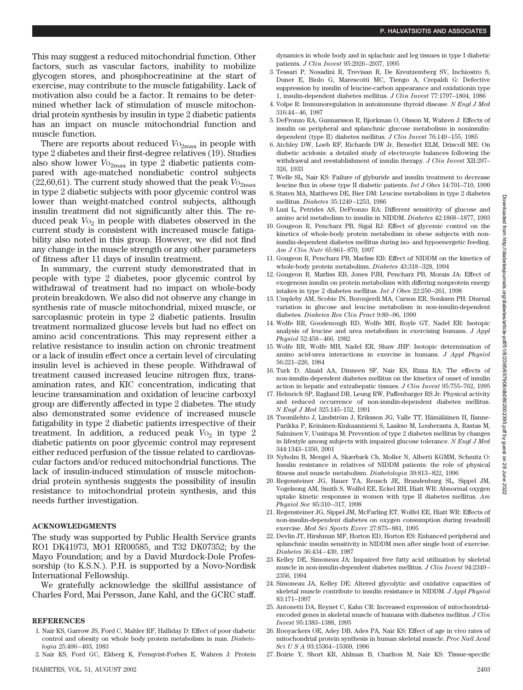This may suggest a reduced mitochondrial function. Other factors, such as vascular factors, inability to mobilize glycogen stores, and phosphocreatinine at the start of exercise, may contribute to the muscle fatigability. Lack of motivation also could be a factor. It remains to be determined whether lack of stimulation of muscle mitochondrial protein synthesis by insulin in type 2 diabetic patients has an impact on muscle mitochondrial function and muscle function.

There are reports about reduced  $V_{{}^{0}2\text{max}}$  in people with type 2 diabetes and their first-degree relatives (19). Studies also show lower  $V_{{}^{O_{2max}}}$  in type 2 diabetic patients compared with age-matched nondiabetic control subjects (22,60,61). The current study showed that the peak  $V_{{}^{O_{2}}_{max}}$ in type 2 diabetic subjects with poor glycemic control was lower than weight-matched control subjects, although insulin treatment did not significantly alter this. The reduced peak  $V_{\text{O}_2}$  in people with diabetes observed in the current study is consistent with increased muscle fatigability also noted in this group. However, we did not find any change in the muscle strength or any other parameters of fitness after 11 days of insulin treatment.

In summary, the current study demonstrated that in people with type 2 diabetes, poor glycemic control by withdrawal of treatment had no impact on whole-body protein breakdown. We also did not observe any change in synthesis rate of muscle mitochondrial, mixed muscle, or sarcoplasmic protein in type 2 diabetic patients. Insulin treatment normalized glucose levels but had no effect on amino acid concentrations. This may represent either a relative resistance to insulin action on chronic treatment or a lack of insulin effect once a certain level of circulating insulin level is achieved in these people. Withdrawal of treatment caused increased leucine nitrogen flux, transamination rates, and KIC concentration, indicating that leucine transamination and oxidation of leucine carboxyl group are differently affected in type 2 diabetes. The study also demonstrated some evidence of increased muscle fatigability in type 2 diabetic patients irrespective of their treatment. In addition, a reduced peak  $V_0$  in type 2 diabetic patients on poor glycemic control may represent either reduced perfusion of the tissue related to cardiovascular factors and/or reduced mitochondrial functions. The lack of insulin-induced stimulation of muscle mitochondrial protein synthesis suggests the possibility of insulin resistance to mitochondrial protein synthesis, and this needs further investigation.

## **ACKNOWLEDGMENTS**

The study was supported by Public Health Service grants RO1 DK41973, MO1 RR00585, and T32 DK07352; by the Mayo Foundation; and by a David Murdock-Dole Professorship (to K.S.N.). P.H. is supported by a Novo-Nordisk International Fellowship.

We gratefully acknowledge the skillful assistance of Charles Ford, Mai Persson, Jane Kahl, and the GCRC staff.

## **REFERENCES**

- 1. Nair KS, Garrow JS, Ford C, Mahler RF, Halliday D: Effect of poor diabetic control and obesity on whole body protein metabolism in man. *Diabetologia* 25:400–403, 1983
- 2. Nair KS, Ford GC, Ekberg K, Fernqvist-Forbes E, Wahren J: Protein

dynamics in whole body and in splachnic and leg tissues in type I diabetic patients. *J Clin Invest* 95:2926–2937, 1995

- 3. Tessari P, Nosadini R, Trevisan R, De Kreutzemberg SV, Inchiostro S, Duner E, Biolo G, Marescotti MC, Tiengo A, Crepaldi G: Defective suppression by insulin of leucine-carbon appearance and oxidationin type 1, insulin-dependent diabetes mellitus. *J Clin Invest* 77:1797–1804, 1986
- 4. Volpe R: Immunoregulation in autoimmune thyroid disease. *N Engl J Med* 316:44–46, 1987
- 5. DeFronzo RA, Gunnarsson R, Bjorkman O, Olsson M, Wahren J: Effects of insulin on peripheral and splanchnic glucose metabolism in noninsulindependent (type II) diabetes mellitus. *J Clin Invest* 76:149–155, 1985
- 6. Atchley DW, Loeb RF, Richards DW Jr, Benedict ELM, Driscoll ME: On diabetic acidosis: a detailed study of electrooyte balances following the withdrawal and reestablishment of insulin therapy. *J Clin Invest* XII:297– 326, 1933
- 7. Welle SL, Nair KS: Failure of glyburide and insulin treatment to decrease leucine flux in obese type II diabetic patients. *Int J Obes* 14:701–710, 1990
- 8. Staten MA, Matthews DE, Bier DM: Leucine metabolism in type 2 diabetes mellitus. *Diabetes* 35:1249–1253, 1986
- 9. Luzi L, Petrides AS, DeFronzo RA: Different sensitivity of glucose and amino acid metabolism to insulin in NIDDM. *Diabetes* 42:1868–1877, 1993
- 10. Gougeon R, Pencharz PB, Sigal RJ: Effect of glycemic control on the kinetics of whole-body protein metabolism in obese subjects with noninsulin-dependent diabetes mellitus during iso- and hypoenergetic feeding. *Am J Clin Nutr* 65:861–870, 1997
- 11. Gougeon R, Pencharz PB, Marliss EB: Effect of NIDDM on the kinetics of whole-body protein metabolism. *Diabetes* 43:318–328, 1994
- 12. Gougeon R, Marliss EB, Jones PJH, Pencharz PB, Morais JA: Effect of exogenous insulin on protein metabolism with differing nonprotein energy intakes in type 2 diabetes mellitus. *Int J Obes* 22:250–261, 1998
- 13. Umpleby AM, Scobie IN, Boroujerdi MA, Carson ER, Sonksen PH: Diurnal variation in glucose and leucine metabolism in non-insulin-dependent diabetes. *Diabetes Res Clin Pract* 9:89–96, 1990
- 14. Wolfe RR, Goodenough RD, Wolfe MH, Royle GT, Nadel ER: Isotopic analysis of leucine and urea metabolism in exercising humans. *J Appl Physiol* 52:458–466, 1982
- 15. Wolfe RR, Wolfe MH, Nadel ER, Shaw JHF: Isotopic determination of amino acid-urea interactions in exercise in humans. *J Appl Physiol* 56:221–226, 1984
- 16. Turk D, Alzaid AA, Dinneen SF, Nair KS, Rizza RA: The effects of non-insulin-dependent diabetes mellitus on the kinetics of onset of insulin action in hepatic and extrahepatic tissues. *J Clin Invest* 95:755–762, 1995
- 17. Helmrich SP, Ragland DR, Leung RW, Paffenbarger RS Jr: Physical activity and reduced occurrence of non-insulin-dependent diabetes mellitus. *N Engl J Med* 325:145–152, 1991
- 18. Tuomilehto J, Lindström J, Eriksson JG, Valle TT, Hämäläinen H, Ilanne-Parikka P, Keinänen-Kiukaanniemi S, Laakso M, Louheranta A, Rastas M, Salminen V, Uusitupa M: Prevention of type 2 diabetes mellitus by changes in lifestyle among subjects with impaired glucose tolerance. *N Engl J Med* 344:1343–1350, 2001
- 19. Nyholm B, Mengel A, Skærbæk Ch, Moller N, Alberti KGMM, Schmitz O: Insulin resistance in relatives of NIDDM patients: the role of physical fitness and muscle metabolism. *Diabetologia* 39:813–822, 1996
- 20. Regensteiner JG, Bauer TA, Reusch JE, Brandenburg SL, Sippel JM, Vogelsong AM, Smith S, Wolfel EE, Eckel RH, Hiatt WR: Abnormal oxygen uptake kinetic responses in women with type II diabetes mellitus. *Am Physiol Soc* 85:310–317, 1998
- 21. Regensteiner JG, Sippel JM, McFarling ET, Wolfel EE, Hiatt WR: Effects of non-insulin-dependent diabetes on oxygen consumption during treadmill exercise. *Med Sci Sports Exerc* 27:875–881, 1995
- 22. Devlin JT, Hirshman MF, Horton ED, Horton ES: Enhanced peripheral and splanchnic insulin sensitivity in NIDDM men after single bout of exercise. *Diabetes* 36:434–439, 1987
- 23. Kelley DE, Simoneau JA: Impaired free fatty acid utilization by skeletal muscle in non-insulin-dependent diabetes mellitus. *J Clin Invest* 94:2349– 2356, 1994
- 24. Simoneau JA, Kelley DE: Altered glycolytic and oxidative capacities of skeletal muscle contribute to insulin resistance in NIDDM. *J Appl Physiol* 83:171–1997
- 25. Antonetti DA, Reynet C, Kahn CR: Increased expression of mitochondrialencoded genes in skeletal muscle of humans with diabetes mellitus. *J Clin Invest* 95:1383–1388, 1995
- 26. Rooyackers OE, Adey DB, Ades PA, Nair KS: Effect of age in vivo rates of mitochondrial protein synthesis in human skeletal muscle. *Proc Natl Acad Sci U S A* 93:15364–15369, 1996
- 27. Boirie Y, Short KR, Ahlman B, Charlton M, Nair KS: Tissue-specific